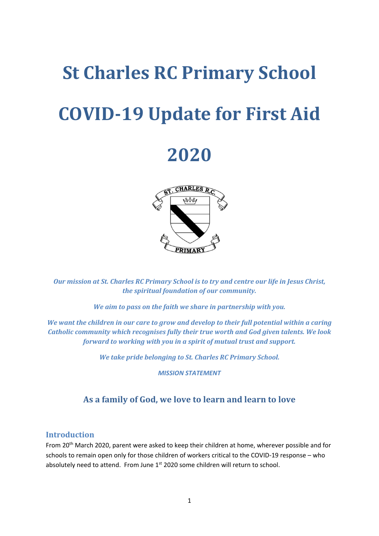# **St Charles RC Primary School COVID-19 Update for First Aid**

# **2020**



*Our mission at St. Charles RC Primary School is to try and centre our life in Jesus Christ, the spiritual foundation of our community.*

*We aim to pass on the faith we share in partnership with you.*

*We want the children in our care to grow and develop to their full potential within a caring Catholic community which recognises fully their true worth and God given talents. We look forward to working with you in a spirit of mutual trust and support.*

*We take pride belonging to St. Charles RC Primary School.*

*MISSION STATEMENT*

# **As a family of God, we love to learn and learn to love**

#### **Introduction**

From 20<sup>th</sup> March 2020, parent were asked to keep their children at home, wherever possible and for schools to remain open only for those children of workers critical to the COVID-19 response – who absolutely need to attend. From June 1<sup>st</sup> 2020 some children will return to school.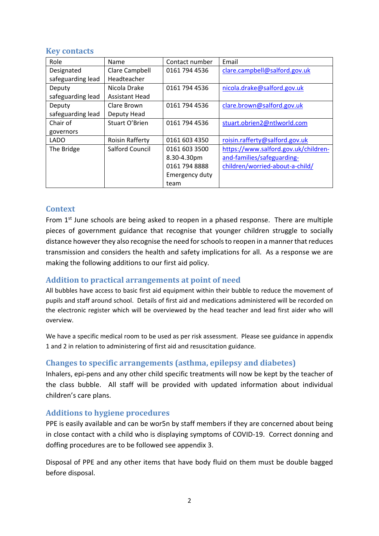#### **Key contacts**

| Role              | Name                   | Contact number | Email                                |
|-------------------|------------------------|----------------|--------------------------------------|
| Designated        | Clare Campbell         | 0161 794 4536  | clare.campbell@salford.gov.uk        |
| safeguarding lead | Headteacher            |                |                                      |
| Deputy            | Nicola Drake           | 0161 794 4536  | nicola.drake@salford.gov.uk          |
| safeguarding lead | <b>Assistant Head</b>  |                |                                      |
| Deputy            | Clare Brown            | 0161 794 4536  | clare.brown@salford.gov.uk           |
| safeguarding lead | Deputy Head            |                |                                      |
| Chair of          | Stuart O'Brien         | 0161 794 4536  | stuart.obrien2@ntlworld.com          |
| governors         |                        |                |                                      |
| <b>LADO</b>       | <b>Roisin Rafferty</b> | 0161 603 4350  | roisin.rafferty@salford.gov.uk       |
| The Bridge        | <b>Salford Council</b> | 0161 603 3500  | https://www.salford.gov.uk/children- |
|                   |                        | 8.30-4.30pm    | and-families/safeguarding-           |
|                   |                        | 0161 794 8888  | children/worried-about-a-child/      |
|                   |                        | Emergency duty |                                      |
|                   |                        | team           |                                      |

# **Context**

From  $1<sup>st</sup>$  June schools are being asked to reopen in a phased response. There are multiple pieces of government guidance that recognise that younger children struggle to socially distance however they also recognise the need for schools to reopen in a manner that reduces transmission and considers the health and safety implications for all. As a response we are making the following additions to our first aid policy.

# **Addition to practical arrangements at point of need**

All bubbles have access to basic first aid equipment within their bubble to reduce the movement of pupils and staff around school. Details of first aid and medications administered will be recorded on the electronic register which will be overviewed by the head teacher and lead first aider who will overview.

We have a specific medical room to be used as per risk assessment. Please see guidance in appendix 1 and 2 in relation to administering of first aid and resuscitation guidance.

# **Changes to specific arrangements (asthma, epilepsy and diabetes)**

Inhalers, epi-pens and any other child specific treatments will now be kept by the teacher of the class bubble. All staff will be provided with updated information about individual children's care plans.

# **Additions to hygiene procedures**

PPE is easily available and can be wor5n by staff members if they are concerned about being in close contact with a child who is displaying symptoms of COVID-19. Correct donning and doffing procedures are to be followed see appendix 3.

Disposal of PPE and any other items that have body fluid on them must be double bagged before disposal.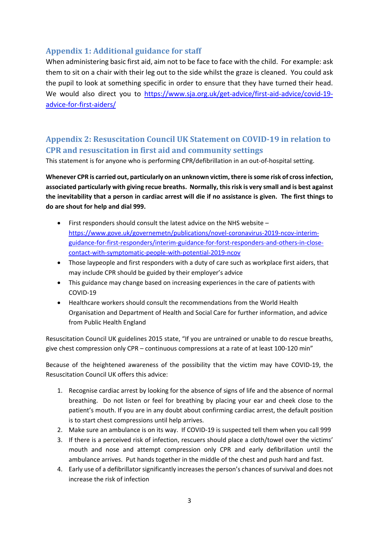# **Appendix 1: Additional guidance for staff**

When administering basic first aid, aim not to be face to face with the child. For example: ask them to sit on a chair with their leg out to the side whilst the graze is cleaned. You could ask the pupil to look at something specific in order to ensure that they have turned their head. We would also direct you to [https://www.sja.org.uk/get-advice/first-aid-advice/covid-19](https://www.sja.org.uk/get-advice/first-aid-advice/covid-19-advice-for-first-aiders/) [advice-for-first-aiders/](https://www.sja.org.uk/get-advice/first-aid-advice/covid-19-advice-for-first-aiders/)

# **Appendix 2: Resuscitation Council UK Statement on COVID-19 in relation to CPR and resuscitation in first aid and community settings**

This statement is for anyone who is performing CPR/defibrillation in an out-of-hospital setting.

**Whenever CPR is carried out, particularly on an unknown victim, there is some risk of cross infection, associated particularly with giving recue breaths. Normally, this risk is very small and is best against the inevitability that a person in cardiac arrest will die if no assistance is given. The first things to do are shout for help and dial 999.**

- First responders should consult the latest advice on the NHS website [https://www.gove.uk/governemetn/publications/novel-coronavirus-2019-ncov-interim](https://www.gove.uk/governemetn/publications/novel-coronavirus-2019-ncov-interim-guidance-for-first-responders/interim-guidance-for-forst-responders-and-others-in-close-contact-with-symptomatic-people-with-potential-2019-ncov)[guidance-for-first-responders/interim-guidance-for-forst-responders-and-others-in-close](https://www.gove.uk/governemetn/publications/novel-coronavirus-2019-ncov-interim-guidance-for-first-responders/interim-guidance-for-forst-responders-and-others-in-close-contact-with-symptomatic-people-with-potential-2019-ncov)[contact-with-symptomatic-people-with-potential-2019-ncov](https://www.gove.uk/governemetn/publications/novel-coronavirus-2019-ncov-interim-guidance-for-first-responders/interim-guidance-for-forst-responders-and-others-in-close-contact-with-symptomatic-people-with-potential-2019-ncov)
- Those laypeople and first responders with a duty of care such as workplace first aiders, that may include CPR should be guided by their employer's advice
- This guidance may change based on increasing experiences in the care of patients with COVID-19
- Healthcare workers should consult the recommendations from the World Health Organisation and Department of Health and Social Care for further information, and advice from Public Health England

Resuscitation Council UK guidelines 2015 state, "If you are untrained or unable to do rescue breaths, give chest compression only CPR – continuous compressions at a rate of at least 100-120 min"

Because of the heightened awareness of the possibility that the victim may have COVID-19, the Resuscitation Council UK offers this advice:

- 1. Recognise cardiac arrest by looking for the absence of signs of life and the absence of normal breathing. Do not listen or feel for breathing by placing your ear and cheek close to the patient's mouth. If you are in any doubt about confirming cardiac arrest, the default position is to start chest compressions until help arrives.
- 2. Make sure an ambulance is on its way. If COVID-19 is suspected tell them when you call 999
- 3. If there is a perceived risk of infection, rescuers should place a cloth/towel over the victims' mouth and nose and attempt compression only CPR and early defibrillation until the ambulance arrives. Put hands together in the middle of the chest and push hard and fast.
- 4. Early use of a defibrillator significantly increases the person's chances of survival and does not increase the risk of infection